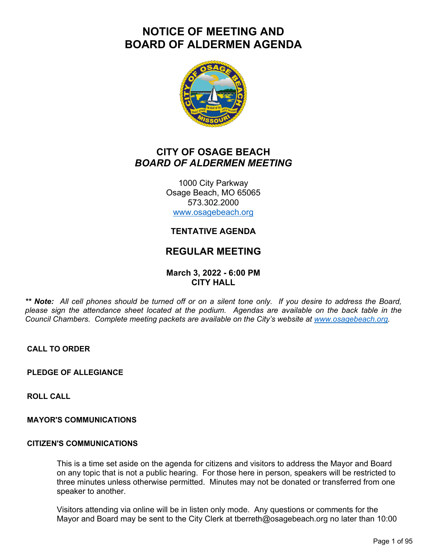# **NOTICE OF MEETING AND BOARD OF ALDERMEN AGENDA**



# **CITY OF OSAGE BEACH** *BOARD OF ALDERMEN MEETING*

1000 City Parkway Osage Beach, MO 65065 573.302.2000 www.osagebeach.org

### **TENTATIVE AGENDA**

## **REGULAR MEETING**

#### **March 3, 2022 - 6:00 PM CITY HALL**

*\*\* Note: All cell phones should be turned off or on a silent tone only. If you desire to address the Board, please sign the attendance sheet located at the podium. Agendas are available on the back table in the Council Chambers. Complete meeting packets are available on the City's website at www.osagebeach.org.*

**CALL TO ORDER**

**PLEDGE OF ALLEGIANCE**

**ROLL CALL**

#### **MAYOR'S COMMUNICATIONS**

#### **CITIZEN'S COMMUNICATIONS**

This is a time set aside on the agenda for citizens and visitors to address the Mayor and Board on any topic that is not a public hearing. For those here in person, speakers will be restricted to three minutes unless otherwise permitted. Minutes may not be donated or transferred from one speaker to another.

Visitors attending via online will be in listen only mode. Any questions or comments for the Mayor and Board may be sent to the City Clerk at tberreth@osagebeach.org no later than 10:00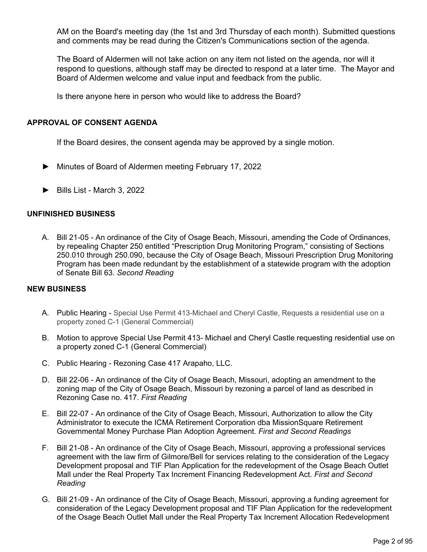AM on the Board's meeting day (the 1st and 3rd Thursday of each month). Submitted questions and comments may be read during the Citizen's Communications section of the agenda.

The Board of Aldermen will not take action on any item not listed on the agenda, nor will it respond to questions, although staff may be directed to respond at a later time. The Mayor and Board of Aldermen welcome and value input and feedback from the public.

Is there anyone here in person who would like to address the Board?

#### **APPROVAL OF CONSENT AGENDA**

If the Board desires, the consent agenda may be approved by a single motion.

- ► Minutes of Board of Aldermen meeting February 17, 2022
- ► Bills List March 3, 2022

#### **UNFINISHED BUSINESS**

A. Bill 21-05 - An ordinance of the City of Osage Beach, Missouri, amending the Code of Ordinances, by repealing Chapter 250 entitled "Prescription Drug Monitoring Program," consisting of Sections 250.010 through 250.090, because the City of Osage Beach, Missouri Prescription Drug Monitoring Program has been made redundant by the establishment of a statewide program with the adoption of Senate Bill 63. *Second Reading*

#### **NEW BUSINESS**

- A. Public Hearing Special Use Permit 413-Michael and Cheryl Castle, Requests a residential use on a property zoned C-1 (General Commercial)
- B. Motion to approve Special Use Permit 413- Michael and Cheryl Castle requesting residential use on a property zoned C-1 (General Commercial)
- C. Public Hearing Rezoning Case 417 Arapaho, LLC.
- D. Bill 22-06 An ordinance of the City of Osage Beach, Missouri, adopting an amendment to the zoning map of the City of Osage Beach, Missouri by rezoning a parcel of land as described in Rezoning Case no. 417. *First Reading*
- E. Bill 22-07 An ordinance of the City of Osage Beach, Missouri, Authorization to allow the City Administrator to execute the ICMA Retirement Corporation dba MissionSquare Retirement Governmental Money Purchase Plan Adoption Agreement. *First and Second Readings*
- F. Bill 21-08 An ordinance of the City of Osage Beach, Missouri, approving a professional services agreement with the law firm of Gilmore/Bell for services relating to the consideration of the Legacy Development proposal and TIF Plan Application for the redevelopment of the Osage Beach Outlet Mall under the Real Property Tax Increment Financing Redevelopment Act. *First and Second Reading*
- G. Bill 21-09 An ordinance of the City of Osage Beach, Missouri, approving a funding agreement for consideration of the Legacy Development proposal and TIF Plan Application for the redevelopment of the Osage Beach Outlet Mall under the Real Property Tax Increment Allocation Redevelopment